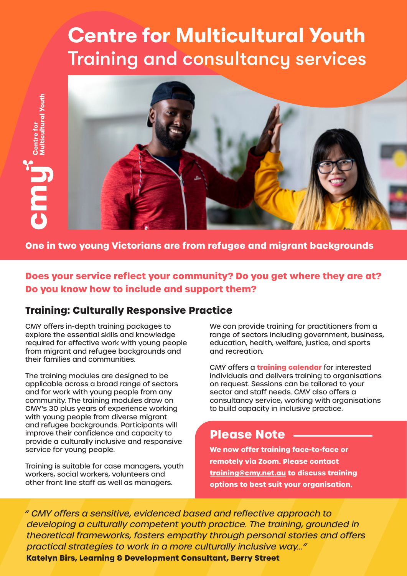## **Centre for Multicultural Youth** Training and consultancy services



**One in two young Victorians are from refugee and migrant backgrounds**

**Does your service reflect your community? Do you get where they are at? Do you know how to include and support them?**

#### **Training: Culturally Responsive Practice**

CMY offers in-depth training packages to explore the essential skills and knowledge required for effective work with young people from migrant and refugee backgrounds and their families and communities.

The training modules are designed to be applicable across a broad range of sectors and for work with young people from any community. The training modules draw on CMY's 30 plus years of experience working with young people from diverse migrant and refugee backgrounds. Participants will improve their confidence and capacity to provide a culturally inclusive and responsive service for young people.

Training is suitable for case managers, youth workers, social workers, volunteers and other front line staff as well as managers.

We can provide training for practitioners from a range of sectors including government, business, education, health, welfare, justice, and sports and recreation.

CMY offers a **training calendar** for interested individuals and delivers training to organisations on request. Sessions can be tailored to your sector and staff needs. CMY also offers a consultancy service, working with organisations to build capacity in inclusive practice.

#### **Please Note**

**We now offer training face-to-face or remotely via Zoom. Please contact training@cmy.net.au to discuss training options to best suit your organisation.** 

" CMY offers a sensitive, evidenced based and reflective approach to developing a culturally competent youth practice. The training, grounded in theoretical frameworks, fosters empathy through personal stories and offers practical strategies to work in a more culturally inclusive way..." **Katelyn Birs, Learning & Development Consultant, Berry Street**